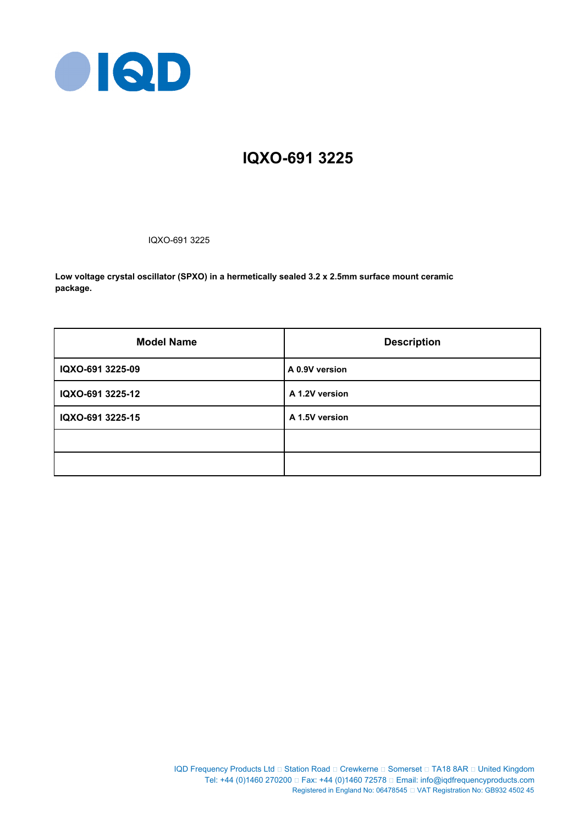

# **IQXO-691 3225**

IQXO-691 3225

**Low voltage crystal oscillator (SPXO) in a hermetically sealed 3.2 x 2.5mm surface mount ceramic package.**

| <b>Model Name</b> | <b>Description</b> |
|-------------------|--------------------|
| IQXO-691 3225-09  | A 0.9V version     |
| IQXO-691 3225-12  | A 1.2V version     |
| IQXO-691 3225-15  | A 1.5V version     |
|                   |                    |
|                   |                    |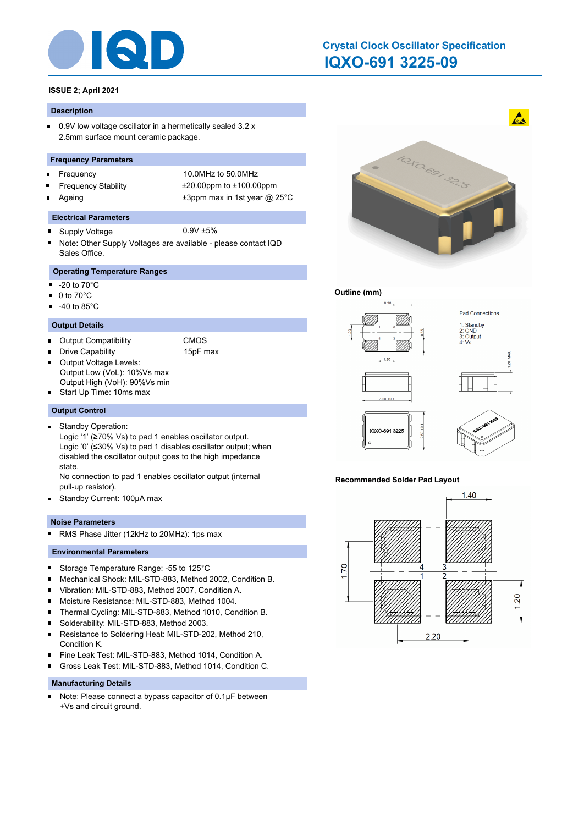

# **IQXO-691 3225-09 Crystal Clock Oscillator Specification**

# **ISSUE 2; April 2021**

#### **Description**

 $\blacksquare$ 0.9V low voltage oscillator in a hermetically sealed 3.2 x 2.5mm surface mount ceramic package.

#### **Frequency Parameters**

- $\blacksquare$
- 
- 

Frequency 10.0MHz to 50.0MHz Frequency Stability ±20.00ppm to ±100.00ppm Ageing  $\qquad \qquad \pm 3$ ppm max in 1st year @ 25°C

#### **Electrical Parameters**

- Supply Voltage 0.9V ±5%  $\blacksquare$
- Note: Other Supply Voltages are available please contact IQD Sales Office.

# **Operating Temperature Ranges**

- $\blacksquare$ -20 to 70°C
- 0 to 70°C  $\blacksquare$
- $-40$  to 85 $^{\circ}$ C

#### **Output Details**

- Output Compatibility CMOS
	- Drive Capability 15pF max
- Output Voltage Levels: Output Low (VoL): 10%Vs max
- Output High (VoH): 90%Vs min
- Start Up Time: 10ms max

#### **Output Control**

- Standby Operation:  $\blacksquare$ 
	- Logic '1' (≥70% Vs) to pad 1 enables oscillator output. Logic '0' (≤30% Vs) to pad 1 disables oscillator output; when disabled the oscillator output goes to the high impedance state.

No connection to pad 1 enables oscillator output (internal pull-up resistor).

 $\blacksquare$ Standby Current: 100μA max

#### **Noise Parameters**

RMS Phase Jitter (12kHz to 20MHz): 1ps max  $\blacksquare$ 

#### **Environmental Parameters**

- $\blacksquare$ Storage Temperature Range: -55 to 125°C
- Mechanical Shock: MIL-STD-883, Method 2002, Condition B. ×
- Vibration: MIL-STD-883, Method 2007, Condition A. ×
- $\blacksquare$ Moisture Resistance: MIL-STD-883, Method 1004.
- $\blacksquare$ Thermal Cycling: MIL-STD-883, Method 1010, Condition B.
- $\blacksquare$ Solderability: MIL-STD-883, Method 2003.
- $\blacksquare$ Resistance to Soldering Heat: MIL-STD-202, Method 210, Condition K.
- Fine Leak Test: MIL-STD-883, Method 1014, Condition A. п
- Gross Leak Test: MIL-STD-883, Method 1014, Condition C. n

#### **Manufacturing Details**

Note: Please connect a bypass capacitor of 0.1μF between  $\blacksquare$ +Vs and circuit ground.



#### **Outline (mm)**



#### **Recommended Solder Pad Layout**

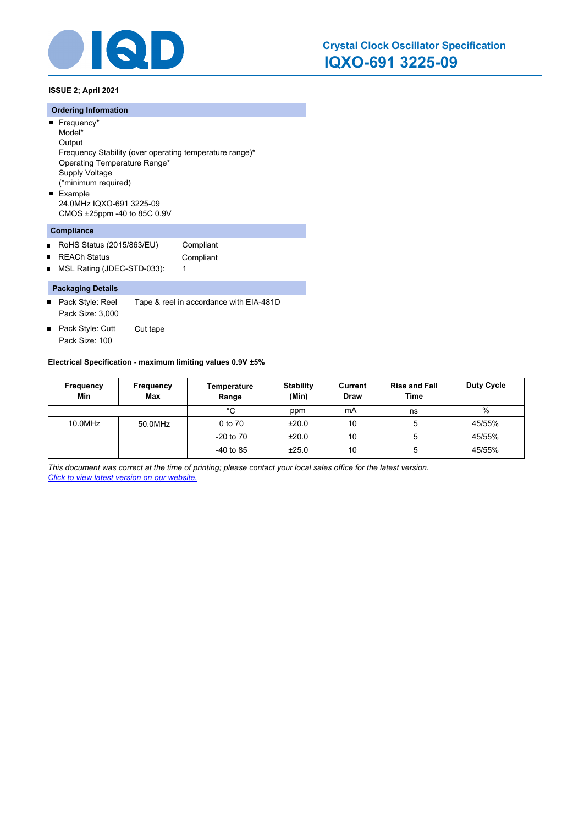

**ISSUE 2; April 2021**

#### **Ordering Information**

- Frequency\* Model\* **Output** Frequency Stability (over operating temperature range)\* Operating Temperature Range\* Supply Voltage (\*minimum required) **Example**
- 24.0MHz IQXO-691 3225-09 CMOS ±25ppm -40 to 85C 0.9V

# **Compliance**

- $\blacksquare$ RoHS Status (2015/863/EU) Compliant
- REACh Status **Compliant**  $\blacksquare$
- MSL Rating (JDEC-STD-033): 1  $\blacksquare$

#### **Packaging Details**

- Pack Style: Reel Tape & reel in accordance with EIA-481D Pack Size: 3,000
- Pack Style: Cutt Cut tape  $\blacksquare$ Pack Size: 100

#### **Electrical Specification - maximum limiting values 0.9V ±5%**

| Frequency<br>Min | Frequency<br><b>Max</b> | Temperature<br>Range | <b>Stability</b><br>(Min) | Current<br><b>Draw</b> | <b>Rise and Fall</b><br>Time | <b>Duty Cycle</b> |
|------------------|-------------------------|----------------------|---------------------------|------------------------|------------------------------|-------------------|
|                  |                         | °C                   | ppm                       | mA                     | ns                           | $\%$              |
| 10.0MHz          | 50.0MHz                 | 0 to 70              | ±20.0                     | 10                     | 5                            | 45/55%            |
|                  |                         | $-20$ to $70$        | ±20.0                     | 10                     | 5                            | 45/55%            |
|                  |                         | $-40$ to 85          | ±25.0                     | 10                     | 5                            | 45/55%            |

*This document was correct at the time of printing; please contact your local sales office for the latest version. Click to view latest version on our website.*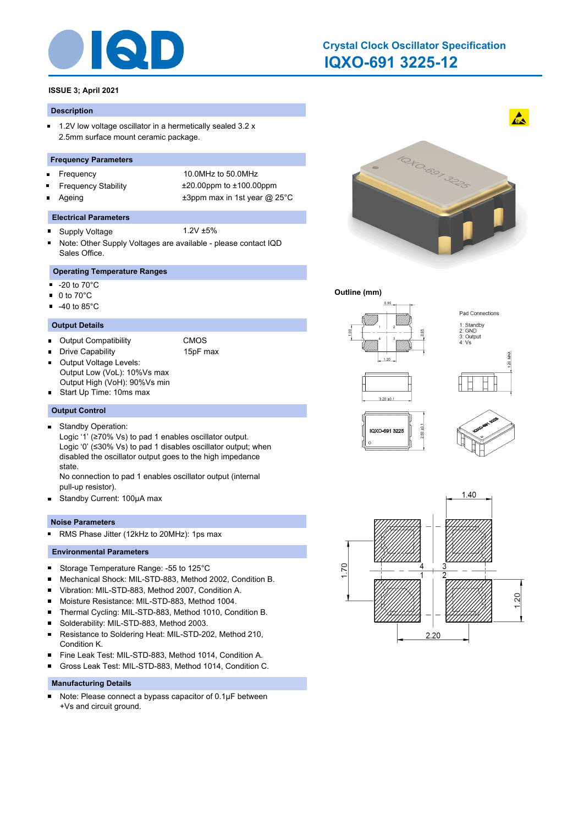

# **IQXO-691 3225-12 Crystal Clock Oscillator Specification**

# **ISSUE 3; April 2021**

#### **Description**

 $\blacksquare$ 1.2V low voltage oscillator in a hermetically sealed 3.2 x 2.5mm surface mount ceramic package.

#### **Frequency Parameters**

- $\blacksquare$
- 
- 

Frequency 10.0MHz to 50.0MHz Frequency Stability ±20.00ppm to ±100.00ppm Ageing  $\qquad \qquad \pm 3$ ppm max in 1st year @ 25°C

#### **Electrical Parameters**

- Supply Voltage 1.2V ±5%  $\blacksquare$
- Note: Other Supply Voltages are available please contact IQD Sales Office.

# **Operating Temperature Ranges**

- $\blacksquare$ -20 to 70°C
- $\blacksquare$  0 to 70 $^{\circ}$ C
- $-40$  to 85 $^{\circ}$ C

#### **Output Details**

- Output Compatibility CMOS
	- Drive Capability 15pF max
- Output Voltage Levels: П Output Low (VoL): 10%Vs max
- Output High (VoH): 90%Vs min
- Start Up Time: 10ms max

#### **Output Control**

- Standby Operation:  $\blacksquare$ 
	- Logic '1' (≥70% Vs) to pad 1 enables oscillator output. Logic '0' (≤30% Vs) to pad 1 disables oscillator output; when disabled the oscillator output goes to the high impedance state.

No connection to pad 1 enables oscillator output (internal pull-up resistor).

 $\blacksquare$ Standby Current: 100μA max

#### **Noise Parameters**

RMS Phase Jitter (12kHz to 20MHz): 1ps max  $\blacksquare$ 

### **Environmental Parameters**

- $\blacksquare$ Storage Temperature Range: -55 to 125°C
- Mechanical Shock: MIL-STD-883, Method 2002, Condition B. ×
- Vibration: MIL-STD-883, Method 2007, Condition A. ×
- $\blacksquare$ Moisture Resistance: MIL-STD-883, Method 1004.
- $\blacksquare$ Thermal Cycling: MIL-STD-883, Method 1010, Condition B.
- $\blacksquare$ Solderability: MIL-STD-883, Method 2003.
- $\blacksquare$ Resistance to Soldering Heat: MIL-STD-202, Method 210, Condition K.
- Fine Leak Test: MIL-STD-883, Method 1014, Condition A.  $\blacksquare$
- Gross Leak Test: MIL-STD-883, Method 1014, Condition C.  $\blacksquare$

#### **Manufacturing Details**

Note: Please connect a bypass capacitor of 0.1μF between  $\blacksquare$ +Vs and circuit ground.



#### **Outline (mm)**



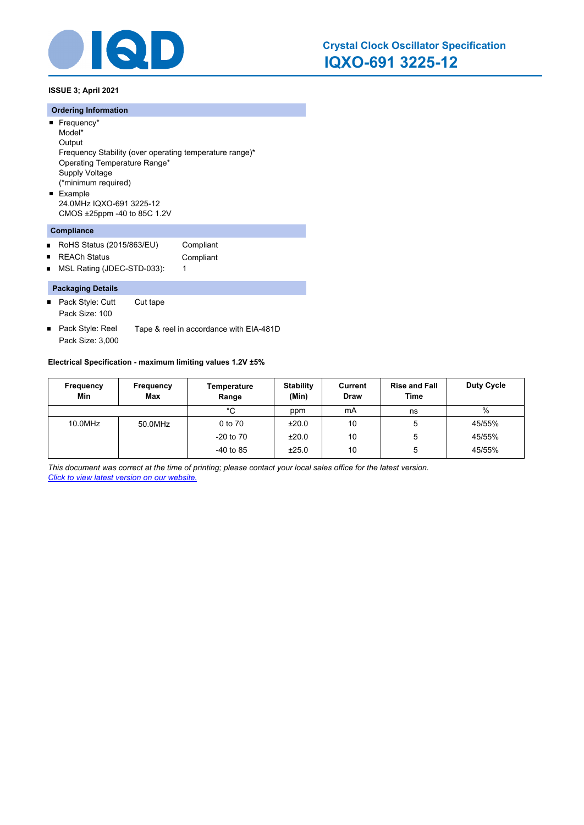

**ISSUE 3; April 2021**

#### **Ordering Information**

- Frequency\* Model\*
- **Output**
- Frequency Stability (over operating temperature range)\*
- Operating Temperature Range\*
- Supply Voltage
- (\*minimum required)
- **Example** 24.0MHz IQXO-691 3225-12
- CMOS ±25ppm -40 to 85C 1.2V

# **Compliance**

- $\blacksquare$ RoHS Status (2015/863/EU) Compliant
- REACh Status **Compliant**  $\blacksquare$
- MSL Rating (JDEC-STD-033): 1  $\blacksquare$

# **Packaging Details**

- Pack Style: Cutt Cut tape Pack Size: 100
- Pack Style: Reel Tape & reel in accordance with EIA-481D  $\blacksquare$ Pack Size: 3,000

#### **Electrical Specification - maximum limiting values 1.2V ±5%**

| Frequency<br>Min | Frequency<br><b>Max</b> | Temperature<br>Range | <b>Stability</b><br>(Min) | Current<br><b>Draw</b> | <b>Rise and Fall</b><br>Time | Duty Cycle |
|------------------|-------------------------|----------------------|---------------------------|------------------------|------------------------------|------------|
|                  |                         | °C                   | ppm                       | mA                     | ns                           | %          |
| 10.0MHz          | 50.0MHz                 | 0 to 70              | ±20.0                     | 10                     | 5                            | 45/55%     |
|                  |                         | $-20$ to $70$        | ±20.0                     | 10                     | 5                            | 45/55%     |
|                  |                         | $-40$ to 85          | ±25.0                     | 10                     | 5                            | 45/55%     |

*This document was correct at the time of printing; please contact your local sales office for the latest version. Click to view latest version on our website.*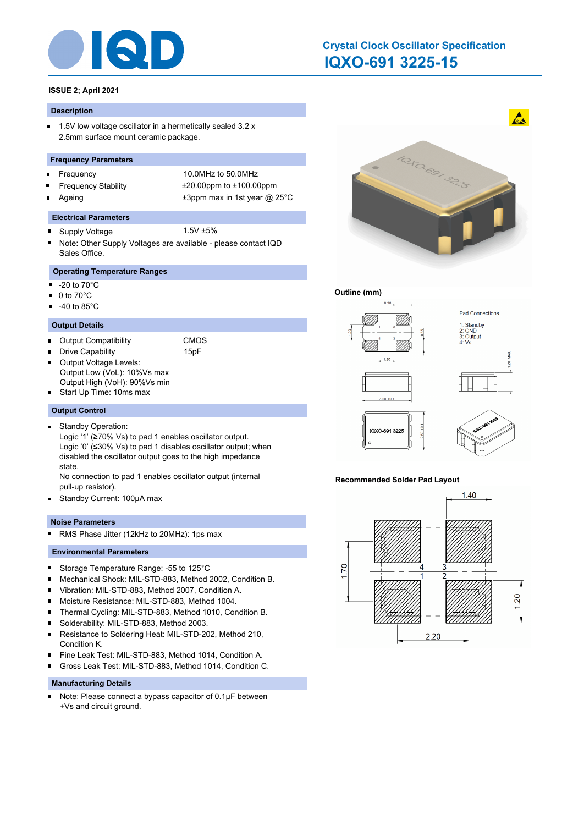

# **IQXO-691 3225-15 Crystal Clock Oscillator Specification**

# **ISSUE 2; April 2021**

#### **Description**

 $\blacksquare$ 1.5V low voltage oscillator in a hermetically sealed 3.2 x 2.5mm surface mount ceramic package.

#### **Frequency Parameters**

- $\blacksquare$
- 
- 

Frequency 10.0MHz to 50.0MHz Frequency Stability ±20.00ppm to ±100.00ppm Ageing  $\qquad \qquad \pm 3$ ppm max in 1st year @ 25°C

#### **Electrical Parameters**

- Supply Voltage 1.5V ±5%  $\blacksquare$
- Note: Other Supply Voltages are available please contact IQD Sales Office.

# **Operating Temperature Ranges**

- $\blacksquare$ -20 to 70°C
- 0 to 70°C  $\blacksquare$
- $-40$  to 85 $^{\circ}$ C

#### **Output Details**

Output Compatibility CMOS

Drive Capability **15pF** 

- Output Voltage Levels: Output Low (VoL): 10%Vs max Output High (VoH): 90%Vs min
- Start Up Time: 10ms max

#### **Output Control**

Standby Operation:  $\blacksquare$ 

Logic '1' (≥70% Vs) to pad 1 enables oscillator output. Logic '0' (≤30% Vs) to pad 1 disables oscillator output; when disabled the oscillator output goes to the high impedance state.

No connection to pad 1 enables oscillator output (internal pull-up resistor).

 $\blacksquare$ Standby Current: 100μA max

#### **Noise Parameters**

RMS Phase Jitter (12kHz to 20MHz): 1ps max  $\blacksquare$ 

#### **Environmental Parameters**

- $\blacksquare$ Storage Temperature Range: -55 to 125°C
- Mechanical Shock: MIL-STD-883, Method 2002, Condition B. ×
- Vibration: MIL-STD-883, Method 2007, Condition A. ×
- $\blacksquare$ Moisture Resistance: MIL-STD-883, Method 1004.
- $\blacksquare$ Thermal Cycling: MIL-STD-883, Method 1010, Condition B.
- $\blacksquare$ Solderability: MIL-STD-883, Method 2003.
- $\blacksquare$ Resistance to Soldering Heat: MIL-STD-202, Method 210, Condition K.
- Fine Leak Test: MIL-STD-883, Method 1014, Condition A. п
- Gross Leak Test: MIL-STD-883, Method 1014, Condition C. n

#### **Manufacturing Details**

Note: Please connect a bypass capacitor of 0.1μF between  $\blacksquare$ +Vs and circuit ground.



#### **Outline (mm)**



#### **Recommended Solder Pad Layout**